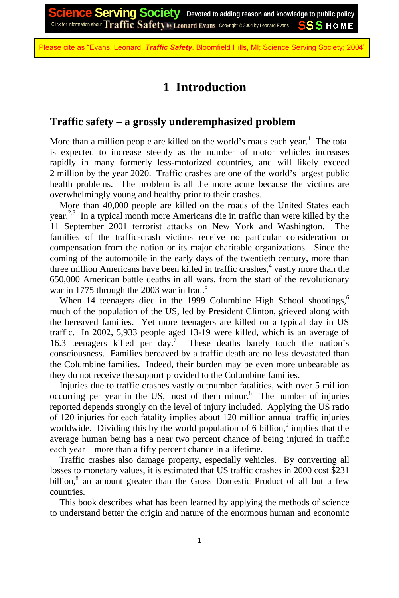Please cite as "Evans, Leonard. *Traffic Safety*. Bloomfield Hills, MI; Science Serving Society; 2004"

## **1 Introduction**

#### **Traffic safety – a grossly underemphasized problem**

More than a million people are killed on the world's roads each year.<sup>1</sup> The total is expected to increase steeply as the number of motor vehicles increases rapidly in many formerly less-motorized countries, and will likely exceed 2 million by the year 2020. Traffic crashes are one of the world's largest public health problems. The problem is all the more acute because the victims are overwhelmingly young and healthy prior to their crashes.

More than 40,000 people are killed on the roads of the United States each year.2,3 In a typical month more Americans die in traffic than were killed by the 11 September 2001 terrorist attacks on New York and Washington. The families of the traffic-crash victims receive no particular consideration or compensation from the nation or its major charitable organizations. Since the coming of the automobile in the early days of the twentieth century, more than three million Americans have been killed in traffic crashes,<sup>4</sup> vastly more than the 650,000 American battle deaths in all wars, from the start of the revolutionary war in 1775 through the 2003 war in Iraq.<sup>5</sup>

When 14 teenagers died in the 1999 Columbine High School shootings, $6\overline{6}$ much of the population of the US, led by President Clinton, grieved along with the bereaved families. Yet more teenagers are killed on a typical day in US traffic. In 2002, 5,933 people aged 13-19 were killed, which is an average of 16.3 teenagers killed per day. These deaths barely touch the nation's consciousness. Families bereaved by a traffic death are no less devastated than the Columbine families. Indeed, their burden may be even more unbearable as they do not receive the support provided to the Columbine families.

Injuries due to traffic crashes vastly outnumber fatalities, with over 5 million  $occuring$  per year in the US, most of them minor. $8$  The number of injuries reported depends strongly on the level of injury included. Applying the US ratio of 120 injuries for each fatality implies about 120 million annual traffic injuries worldwide. Dividing this by the world population of 6 billion,<sup>9</sup> implies that the average human being has a near two percent chance of being injured in traffic each year – more than a fifty percent chance in a lifetime.

Traffic crashes also damage property, especially vehicles. By converting all losses to monetary values, it is estimated that US traffic crashes in 2000 cost \$231 billion,<sup>8</sup> an amount greater than the Gross Domestic Product of all but a few countries.

This book describes what has been learned by applying the methods of science to understand better the origin and nature of the enormous human and economic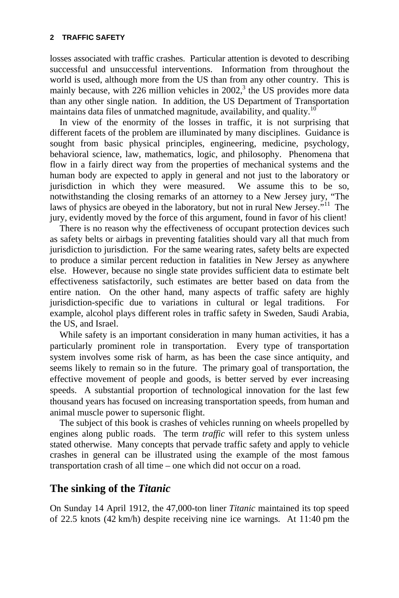losses associated with traffic crashes. Particular attention is devoted to describing successful and unsuccessful interventions. Information from throughout the world is used, although more from the US than from any other country. This is mainly because, with 226 million vehicles in  $2002<sup>3</sup>$ , the US provides more data than any other single nation. In addition, the US Department of Transportation maintains data files of unmatched magnitude, availability, and quality.<sup>10</sup>

In view of the enormity of the losses in traffic, it is not surprising that different facets of the problem are illuminated by many disciplines. Guidance is sought from basic physical principles, engineering, medicine, psychology, behavioral science, law, mathematics, logic, and philosophy. Phenomena that flow in a fairly direct way from the properties of mechanical systems and the human body are expected to apply in general and not just to the laboratory or jurisdiction in which they were measured. We assume this to be so, notwithstanding the closing remarks of an attorney to a New Jersey jury, "The laws of physics are obeyed in the laboratory, but not in rural New Jersey."<sup>11</sup> The jury, evidently moved by the force of this argument, found in favor of his client!

There is no reason why the effectiveness of occupant protection devices such as safety belts or airbags in preventing fatalities should vary all that much from jurisdiction to jurisdiction. For the same wearing rates, safety belts are expected to produce a similar percent reduction in fatalities in New Jersey as anywhere else. However, because no single state provides sufficient data to estimate belt effectiveness satisfactorily, such estimates are better based on data from the entire nation. On the other hand, many aspects of traffic safety are highly jurisdiction-specific due to variations in cultural or legal traditions. For example, alcohol plays different roles in traffic safety in Sweden, Saudi Arabia, the US, and Israel.

While safety is an important consideration in many human activities, it has a particularly prominent role in transportation. Every type of transportation system involves some risk of harm, as has been the case since antiquity, and seems likely to remain so in the future. The primary goal of transportation, the effective movement of people and goods, is better served by ever increasing speeds. A substantial proportion of technological innovation for the last few thousand years has focused on increasing transportation speeds, from human and animal muscle power to supersonic flight.

The subject of this book is crashes of vehicles running on wheels propelled by engines along public roads. The term *traffic* will refer to this system unless stated otherwise. Many concepts that pervade traffic safety and apply to vehicle crashes in general can be illustrated using the example of the most famous transportation crash of all time – one which did not occur on a road.

## **The sinking of the** *Titanic*

On Sunday 14 April 1912, the 47,000-ton liner *Titanic* maintained its top speed of 22.5 knots (42 km/h) despite receiving nine ice warnings. At 11:40 pm the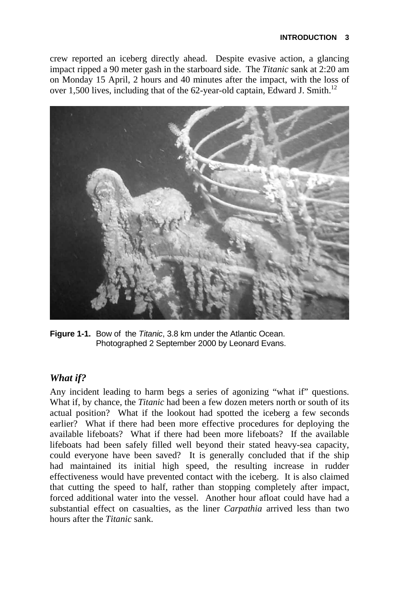crew reported an iceberg directly ahead. Despite evasive action, a glancing impact ripped a 90 meter gash in the starboard side. The *Titanic* sank at 2:20 am on Monday 15 April, 2 hours and 40 minutes after the impact, with the loss of over 1,500 lives, including that of the 62-year-old captain, Edward J. Smith.<sup>12</sup>



**Figure 1-1.** Bow of the *Titanic*, 3.8 km under the Atlantic Ocean. Photographed 2 September 2000 by Leonard Evans.

## *What if?*

Any incident leading to harm begs a series of agonizing "what if" questions. What if, by chance, the *Titanic* had been a few dozen meters north or south of its actual position? What if the lookout had spotted the iceberg a few seconds earlier? What if there had been more effective procedures for deploying the available lifeboats? What if there had been more lifeboats? If the available lifeboats had been safely filled well beyond their stated heavy-sea capacity, could everyone have been saved? It is generally concluded that if the ship had maintained its initial high speed, the resulting increase in rudder effectiveness would have prevented contact with the iceberg. It is also claimed that cutting the speed to half, rather than stopping completely after impact, forced additional water into the vessel. Another hour afloat could have had a substantial effect on casualties, as the liner *Carpathia* arrived less than two hours after the *Titanic* sank.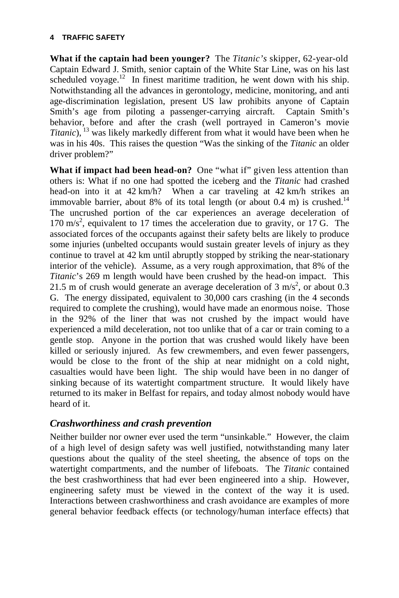**What if the captain had been younger?** The *Titanic's* skipper, 62-year-old Captain Edward J. Smith, senior captain of the White Star Line, was on his last scheduled voyage.<sup>12</sup> In finest maritime tradition, he went down with his ship. Notwithstanding all the advances in gerontology, medicine, monitoring, and anti age-discrimination legislation, present US law prohibits anyone of Captain Smith's age from piloting a passenger-carrying aircraft. Captain Smith's behavior, before and after the crash (well portrayed in Cameron's movie *Titanic*), 13 was likely markedly different from what it would have been when he was in his 40s. This raises the question "Was the sinking of the *Titanic* an older driver problem?"

**What if impact had been head-on?** One "what if" given less attention than others is: What if no one had spotted the iceberg and the *Titanic* had crashed head-on into it at 42 km/h? When a car traveling at 42 km/h strikes an immovable barrier, about 8% of its total length (or about 0.4 m) is crushed.<sup>14</sup> The uncrushed portion of the car experiences an average deceleration of 170 m/s<sup>2</sup>, equivalent to 17 times the acceleration due to gravity, or 17 G. The associated forces of the occupants against their safety belts are likely to produce some injuries (unbelted occupants would sustain greater levels of injury as they continue to travel at 42 km until abruptly stopped by striking the near-stationary interior of the vehicle). Assume, as a very rough approximation, that 8% of the *Titanic*'s 269 m length would have been crushed by the head-on impact. This 21.5 m of crush would generate an average deceleration of 3 m/s<sup>2</sup>, or about 0.3 G. The energy dissipated, equivalent to 30,000 cars crashing (in the 4 seconds required to complete the crushing), would have made an enormous noise. Those in the 92% of the liner that was not crushed by the impact would have experienced a mild deceleration, not too unlike that of a car or train coming to a gentle stop. Anyone in the portion that was crushed would likely have been killed or seriously injured. As few crewmembers, and even fewer passengers, would be close to the front of the ship at near midnight on a cold night, casualties would have been light. The ship would have been in no danger of sinking because of its watertight compartment structure. It would likely have returned to its maker in Belfast for repairs, and today almost nobody would have heard of it.

### *Crashworthiness and crash prevention*

Neither builder nor owner ever used the term "unsinkable." However, the claim of a high level of design safety was well justified, notwithstanding many later questions about the quality of the steel sheeting, the absence of tops on the watertight compartments, and the number of lifeboats. The *Titanic* contained the best crashworthiness that had ever been engineered into a ship. However, engineering safety must be viewed in the context of the way it is used. Interactions between crashworthiness and crash avoidance are examples of more general behavior feedback effects (or technology/human interface effects) that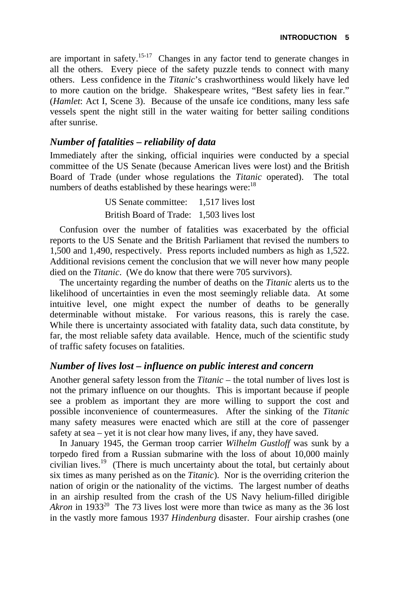are important in safety.<sup>15-17</sup> Changes in any factor tend to generate changes in all the others. Every piece of the safety puzzle tends to connect with many others. Less confidence in the *Titanic*'s crashworthiness would likely have led to more caution on the bridge. Shakespeare writes, "Best safety lies in fear." (*Hamlet*: Act I, Scene 3). Because of the unsafe ice conditions, many less safe vessels spent the night still in the water waiting for better sailing conditions after sunrise.

#### *Number of fatalities – reliability of data*

Immediately after the sinking, official inquiries were conducted by a special committee of the US Senate (because American lives were lost) and the British Board of Trade (under whose regulations the *Titanic* operated). The total numbers of deaths established by these hearings were: $18$ 

> US Senate committee: 1,517 lives lost British Board of Trade: 1,503 lives lost

Confusion over the number of fatalities was exacerbated by the official reports to the US Senate and the British Parliament that revised the numbers to 1,500 and 1,490, respectively. Press reports included numbers as high as 1,522. Additional revisions cement the conclusion that we will never how many people died on the *Titanic*. (We do know that there were 705 survivors).

The uncertainty regarding the number of deaths on the *Titanic* alerts us to the likelihood of uncertainties in even the most seemingly reliable data. At some intuitive level, one might expect the number of deaths to be generally determinable without mistake. For various reasons, this is rarely the case. While there is uncertainty associated with fatality data, such data constitute, by far, the most reliable safety data available. Hence, much of the scientific study of traffic safety focuses on fatalities.

#### *Number of lives lost – influence on public interest and concern*

Another general safety lesson from the *Titanic* – the total number of lives lost is not the primary influence on our thoughts. This is important because if people see a problem as important they are more willing to support the cost and possible inconvenience of countermeasures. After the sinking of the *Titanic* many safety measures were enacted which are still at the core of passenger safety at sea – yet it is not clear how many lives, if any, they have saved.

In January 1945, the German troop carrier *Wilhelm Gustloff* was sunk by a torpedo fired from a Russian submarine with the loss of about 10,000 mainly civilian lives.19 (There is much uncertainty about the total, but certainly about six times as many perished as on the *Titanic*). Nor is the overriding criterion the nation of origin or the nationality of the victims. The largest number of deaths in an airship resulted from the crash of the US Navy helium-filled dirigible *Akron* in 1933<sup>20</sup> The 73 lives lost were more than twice as many as the 36 lost in the vastly more famous 1937 *Hindenburg* disaster. Four airship crashes (one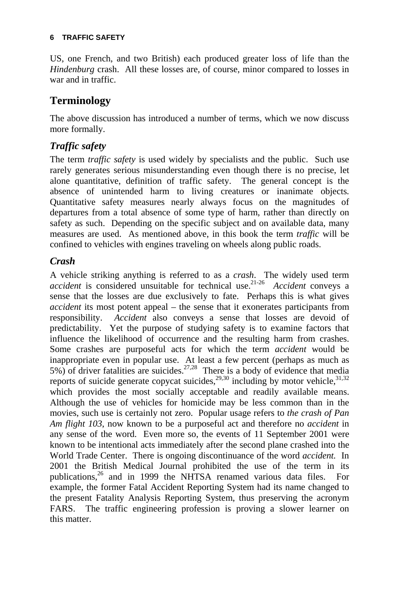US, one French, and two British) each produced greater loss of life than the *Hindenburg* crash. All these losses are, of course, minor compared to losses in war and in traffic.

# **Terminology**

The above discussion has introduced a number of terms, which we now discuss more formally.

## *Traffic safety*

The term *traffic safety* is used widely by specialists and the public. Such use rarely generates serious misunderstanding even though there is no precise, let alone quantitative, definition of traffic safety. The general concept is the absence of unintended harm to living creatures or inanimate objects. Quantitative safety measures nearly always focus on the magnitudes of departures from a total absence of some type of harm, rather than directly on safety as such. Depending on the specific subject and on available data, many measures are used. As mentioned above, in this book the term *traffic* will be confined to vehicles with engines traveling on wheels along public roads.

## *Crash*

A vehicle striking anything is referred to as a *crash*. The widely used term *accident* is considered unsuitable for technical use.<sup>21-26</sup> *Accident* conveys a sense that the losses are due exclusively to fate. Perhaps this is what gives *accident* its most potent appeal – the sense that it exonerates participants from responsibility. *Accident* also conveys a sense that losses are devoid of predictability. Yet the purpose of studying safety is to examine factors that influence the likelihood of occurrence and the resulting harm from crashes. Some crashes are purposeful acts for which the term *accident* would be inappropriate even in popular use. At least a few percent (perhaps as much as 5%) of driver fatalities are suicides.<sup>27,28</sup> There is a body of evidence that media reports of suicide generate copycat suicides,<sup>29,30</sup> including by motor vehicle, $31,32$ which provides the most socially acceptable and readily available means. Although the use of vehicles for homicide may be less common than in the movies, such use is certainly not zero. Popular usage refers to *the crash of Pan Am flight 103*, now known to be a purposeful act and therefore no *accident* in any sense of the word. Even more so, the events of 11 September 2001 were known to be intentional acts immediately after the second plane crashed into the World Trade Center. There is ongoing discontinuance of the word *accident.* In 2001 the British Medical Journal prohibited the use of the term in its publications,<sup>26</sup> and in 1999 the NHTSA renamed various data files. For example, the former Fatal Accident Reporting System had its name changed to the present Fatality Analysis Reporting System, thus preserving the acronym FARS. The traffic engineering profession is proving a slower learner on this matter.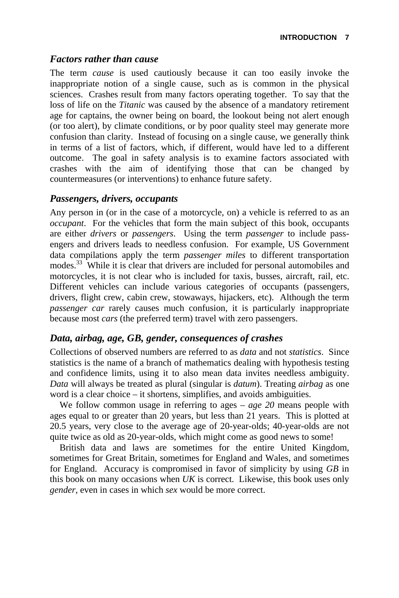#### *Factors rather than cause*

The term *cause* is used cautiously because it can too easily invoke the inappropriate notion of a single cause, such as is common in the physical sciences. Crashes result from many factors operating together. To say that the loss of life on the *Titanic* was caused by the absence of a mandatory retirement age for captains, the owner being on board, the lookout being not alert enough (or too alert), by climate conditions, or by poor quality steel may generate more confusion than clarity. Instead of focusing on a single cause, we generally think in terms of a list of factors, which, if different, would have led to a different outcome. The goal in safety analysis is to examine factors associated with crashes with the aim of identifying those that can be changed by countermeasures (or interventions) to enhance future safety.

#### *Passengers, drivers, occupants*

Any person in (or in the case of a motorcycle, on) a vehicle is referred to as an *occupant*. For the vehicles that form the main subject of this book, occupants are either *drivers* or *passengers*. Using the term *passenger* to include passengers and drivers leads to needless confusion. For example, US Government data compilations apply the term *passenger miles* to different transportation modes.<sup>33</sup> While it is clear that drivers are included for personal automobiles and motorcycles, it is not clear who is included for taxis, busses, aircraft, rail, etc. Different vehicles can include various categories of occupants (passengers, drivers, flight crew, cabin crew, stowaways, hijackers, etc). Although the term *passenger car* rarely causes much confusion, it is particularly inappropriate because most *cars* (the preferred term) travel with zero passengers.

#### *Data, airbag, age, GB, gender, consequences of crashes*

Collections of observed numbers are referred to as *data* and not *statistics*. Since statistics is the name of a branch of mathematics dealing with hypothesis testing and confidence limits, using it to also mean data invites needless ambiguity. *Data* will always be treated as plural (singular is *datum*). Treating *airbag* as one word is a clear choice – it shortens, simplifies, and avoids ambiguities.

We follow common usage in referring to ages – *age 20* means people with ages equal to or greater than 20 years, but less than 21 years. This is plotted at 20.5 years, very close to the average age of 20-year-olds; 40-year-olds are not quite twice as old as 20-year-olds, which might come as good news to some!

British data and laws are sometimes for the entire United Kingdom, sometimes for Great Britain, sometimes for England and Wales, and sometimes for England. Accuracy is compromised in favor of simplicity by using *GB* in this book on many occasions when *UK* is correct. Likewise, this book uses only *gender*, even in cases in which *sex* would be more correct.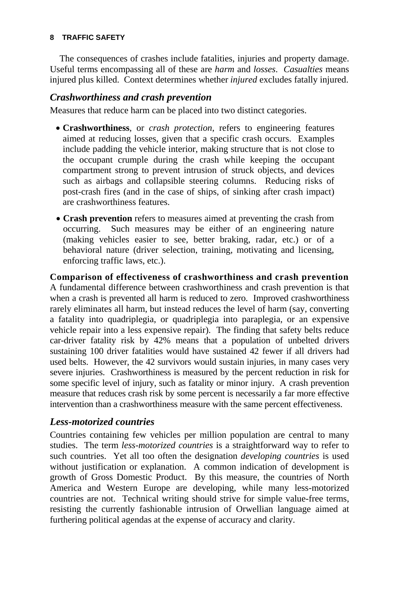The consequences of crashes include fatalities, injuries and property damage. Useful terms encompassing all of these are *harm* and *losses*. *Casualties* means injured plus killed. Context determines whether *injured* excludes fatally injured.

### *Crashworthiness and crash prevention*

Measures that reduce harm can be placed into two distinct categories.

- x**Crashworthiness**, or *crash protection*, refers to engineering features aimed at reducing losses, given that a specific crash occurs. Examples include padding the vehicle interior, making structure that is not close to the occupant crumple during the crash while keeping the occupant compartment strong to prevent intrusion of struck objects, and devices such as airbags and collapsible steering columns. Reducing risks of post-crash fires (and in the case of ships, of sinking after crash impact) are crashworthiness features.
- Crash prevention refers to measures aimed at preventing the crash from occurring. Such measures may be either of an engineering nature (making vehicles easier to see, better braking, radar, etc.) or of a behavioral nature (driver selection, training, motivating and licensing, enforcing traffic laws, etc.).

**Comparison of effectiveness of crashworthiness and crash prevention**  A fundamental difference between crashworthiness and crash prevention is that when a crash is prevented all harm is reduced to zero. Improved crashworthiness rarely eliminates all harm, but instead reduces the level of harm (say, converting a fatality into quadriplegia, or quadriplegia into paraplegia, or an expensive vehicle repair into a less expensive repair). The finding that safety belts reduce car-driver fatality risk by 42% means that a population of unbelted drivers sustaining 100 driver fatalities would have sustained 42 fewer if all drivers had used belts. However, the 42 survivors would sustain injuries, in many cases very severe injuries. Crashworthiness is measured by the percent reduction in risk for some specific level of injury, such as fatality or minor injury. A crash prevention measure that reduces crash risk by some percent is necessarily a far more effective intervention than a crashworthiness measure with the same percent effectiveness.

## *Less-motorized countries*

Countries containing few vehicles per million population are central to many studies. The term *less-motorized countries* is a straightforward way to refer to such countries. Yet all too often the designation *developing countries* is used without justification or explanation. A common indication of development is growth of Gross Domestic Product. By this measure, the countries of North America and Western Europe are developing, while many less-motorized countries are not. Technical writing should strive for simple value-free terms, resisting the currently fashionable intrusion of Orwellian language aimed at furthering political agendas at the expense of accuracy and clarity.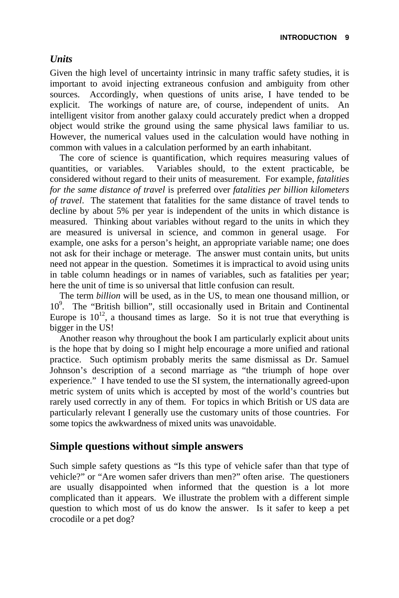#### *Units*

Given the high level of uncertainty intrinsic in many traffic safety studies, it is important to avoid injecting extraneous confusion and ambiguity from other sources. Accordingly, when questions of units arise, I have tended to be explicit. The workings of nature are, of course, independent of units. An intelligent visitor from another galaxy could accurately predict when a dropped object would strike the ground using the same physical laws familiar to us. However, the numerical values used in the calculation would have nothing in common with values in a calculation performed by an earth inhabitant.

The core of science is quantification, which requires measuring values of quantities, or variables. Variables should, to the extent practicable, be considered without regard to their units of measurement. For example, *fatalities for the same distance of travel* is preferred over *fatalities per billion kilometers of travel*. The statement that fatalities for the same distance of travel tends to decline by about 5% per year is independent of the units in which distance is measured. Thinking about variables without regard to the units in which they are measured is universal in science, and common in general usage. For example, one asks for a person's height, an appropriate variable name; one does not ask for their inchage or meterage. The answer must contain units, but units need not appear in the question. Sometimes it is impractical to avoid using units in table column headings or in names of variables, such as fatalities per year; here the unit of time is so universal that little confusion can result.

The term *billion* will be used, as in the US, to mean one thousand million, or 10<sup>9</sup>. The "British billion", still occasionally used in Britain and Continental Europe is  $10^{12}$ , a thousand times as large. So it is not true that everything is bigger in the US!

Another reason why throughout the book I am particularly explicit about units is the hope that by doing so I might help encourage a more unified and rational practice. Such optimism probably merits the same dismissal as Dr. Samuel Johnson's description of a second marriage as "the triumph of hope over experience." I have tended to use the SI system, the internationally agreed-upon metric system of units which is accepted by most of the world's countries but rarely used correctly in any of them. For topics in which British or US data are particularly relevant I generally use the customary units of those countries. For some topics the awkwardness of mixed units was unavoidable.

### **Simple questions without simple answers**

Such simple safety questions as "Is this type of vehicle safer than that type of vehicle?" or "Are women safer drivers than men?" often arise. The questioners are usually disappointed when informed that the question is a lot more complicated than it appears. We illustrate the problem with a different simple question to which most of us do know the answer. Is it safer to keep a pet crocodile or a pet dog?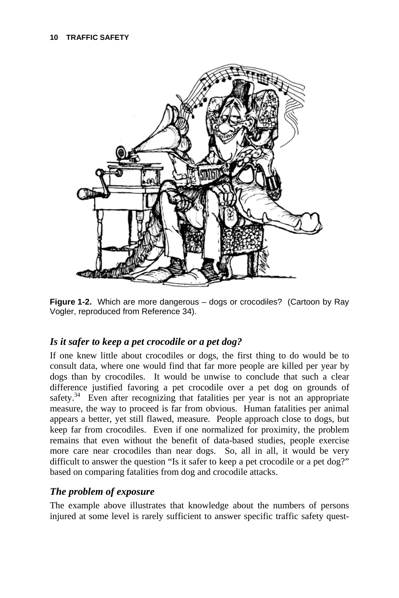

**Figure 1-2.** Which are more dangerous – dogs or crocodiles? (Cartoon by Ray Vogler, reproduced from Reference 34).

### *Is it safer to keep a pet crocodile or a pet dog?*

If one knew little about crocodiles or dogs, the first thing to do would be to consult data, where one would find that far more people are killed per year by dogs than by crocodiles. It would be unwise to conclude that such a clear difference justified favoring a pet crocodile over a pet dog on grounds of safety.<sup>34</sup> Even after recognizing that fatalities per year is not an appropriate measure, the way to proceed is far from obvious. Human fatalities per animal appears a better, yet still flawed, measure. People approach close to dogs, but keep far from crocodiles. Even if one normalized for proximity, the problem remains that even without the benefit of data-based studies, people exercise more care near crocodiles than near dogs. So, all in all, it would be very difficult to answer the question "Is it safer to keep a pet crocodile or a pet dog?" based on comparing fatalities from dog and crocodile attacks.

#### *The problem of exposure*

The example above illustrates that knowledge about the numbers of persons injured at some level is rarely sufficient to answer specific traffic safety quest-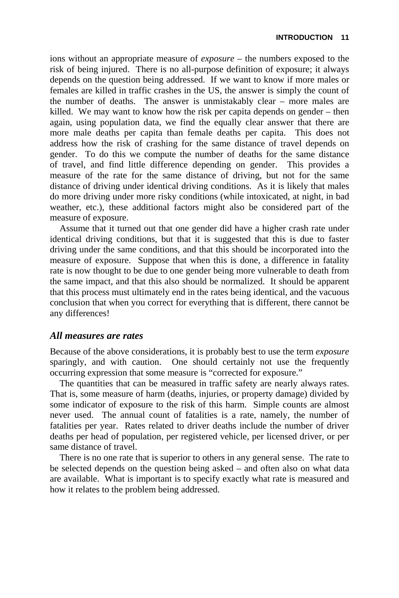ions without an appropriate measure of *exposure* – the numbers exposed to the risk of being injured. There is no all-purpose definition of exposure; it always depends on the question being addressed. If we want to know if more males or females are killed in traffic crashes in the US, the answer is simply the count of the number of deaths. The answer is unmistakably clear – more males are killed. We may want to know how the risk per capita depends on gender – then again, using population data, we find the equally clear answer that there are more male deaths per capita than female deaths per capita. This does not address how the risk of crashing for the same distance of travel depends on gender. To do this we compute the number of deaths for the same distance of travel, and find little difference depending on gender. This provides a measure of the rate for the same distance of driving, but not for the same distance of driving under identical driving conditions. As it is likely that males do more driving under more risky conditions (while intoxicated, at night, in bad weather, etc.), these additional factors might also be considered part of the measure of exposure.

Assume that it turned out that one gender did have a higher crash rate under identical driving conditions, but that it is suggested that this is due to faster driving under the same conditions, and that this should be incorporated into the measure of exposure. Suppose that when this is done, a difference in fatality rate is now thought to be due to one gender being more vulnerable to death from the same impact, and that this also should be normalized. It should be apparent that this process must ultimately end in the rates being identical, and the vacuous conclusion that when you correct for everything that is different, there cannot be any differences!

#### *All measures are rates*

Because of the above considerations, it is probably best to use the term *exposure* sparingly, and with caution. One should certainly not use the frequently occurring expression that some measure is "corrected for exposure."

The quantities that can be measured in traffic safety are nearly always rates. That is, some measure of harm (deaths, injuries, or property damage) divided by some indicator of exposure to the risk of this harm. Simple counts are almost never used. The annual count of fatalities is a rate, namely, the number of fatalities per year. Rates related to driver deaths include the number of driver deaths per head of population, per registered vehicle, per licensed driver, or per same distance of travel.

There is no one rate that is superior to others in any general sense. The rate to be selected depends on the question being asked – and often also on what data are available. What is important is to specify exactly what rate is measured and how it relates to the problem being addressed.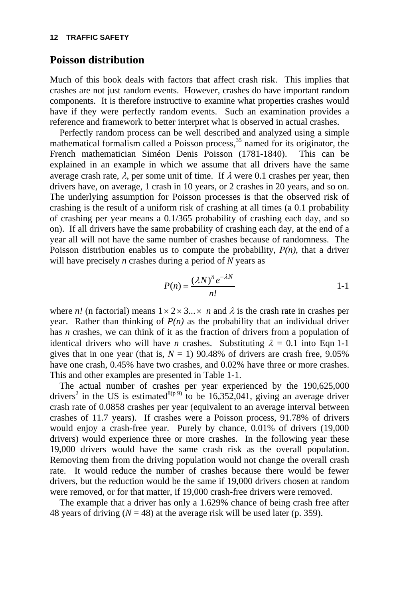#### **Poisson distribution**

Much of this book deals with factors that affect crash risk. This implies that crashes are not just random events. However, crashes do have important random components. It is therefore instructive to examine what properties crashes would have if they were perfectly random events. Such an examination provides a reference and framework to better interpret what is observed in actual crashes.

Perfectly random process can be well described and analyzed using a simple mathematical formalism called a Poisson process,<sup>35</sup> named for its originator, the French mathematician Siméon Denis Poisson (1781-1840). This can be explained in an example in which we assume that all drivers have the same average crash rate,  $\lambda$ , per some unit of time. If  $\lambda$  were 0.1 crashes per year, then drivers have, on average, 1 crash in 10 years, or 2 crashes in 20 years, and so on. The underlying assumption for Poisson processes is that the observed risk of crashing is the result of a uniform risk of crashing at all times (a 0.1 probability of crashing per year means a 0.1/365 probability of crashing each day, and so on). If all drivers have the same probability of crashing each day, at the end of a year all will not have the same number of crashes because of randomness. The Poisson distribution enables us to compute the probability,  $P(n)$ , that a driver will have precisely *n* crashes during a period of *N* years as

$$
P(n) = \frac{(\lambda N)^n e^{-\lambda N}}{n!}
$$
 1-1

where *n!* (n factorial) means  $1 \times 2 \times 3... \times n$  and  $\lambda$  is the crash rate in crashes per year. Rather than thinking of  $P(n)$  as the probability that an individual driver has *n* crashes, we can think of it as the fraction of drivers from a population of identical drivers who will have *n* crashes. Substituting  $\lambda = 0.1$  into Eqn 1-1 gives that in one year (that is,  $N = 1$ ) 90.48% of drivers are crash free, 9.05% have one crash, 0.45% have two crashes, and 0.02% have three or more crashes. This and other examples are presented in Table 1-1.

The actual number of crashes per year experienced by the 190,625,000 drivers<sup>2</sup> in the US is estimated<sup>8(p9)</sup> to be 16,352,041, giving an average driver crash rate of 0.0858 crashes per year (equivalent to an average interval between crashes of 11.7 years). If crashes were a Poisson process, 91.78% of drivers would enjoy a crash-free year. Purely by chance, 0.01% of drivers (19,000 drivers) would experience three or more crashes. In the following year these 19,000 drivers would have the same crash risk as the overall population. Removing them from the driving population would not change the overall crash rate. It would reduce the number of crashes because there would be fewer drivers, but the reduction would be the same if 19,000 drivers chosen at random were removed, or for that matter, if 19,000 crash-free drivers were removed.

The example that a driver has only a 1.629% chance of being crash free after 48 years of driving  $(N = 48)$  at the average risk will be used later (p. 359).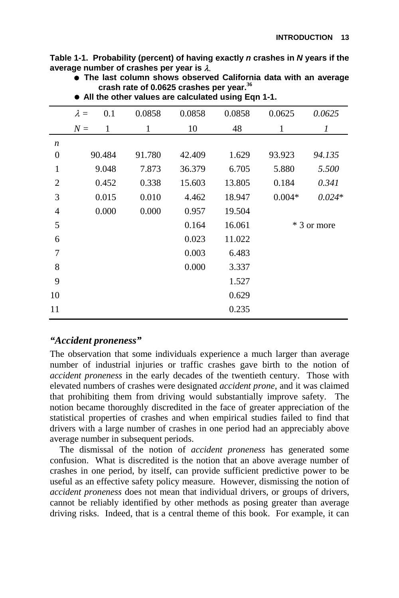**Table 1-1. Probability (percent) of having exactly** *n* **crashes in** *N* **years if the**  average number of crashes per year is  $\lambda$ .

|                  | $\lambda =$ | 0.1   | 0.0858 | 0.0858 | 0.0858 | 0.0625   | 0.0625      |  |
|------------------|-------------|-------|--------|--------|--------|----------|-------------|--|
|                  | $N =$       | 1     | 1      | 10     | 48     | 1        | 1           |  |
| $\boldsymbol{n}$ |             |       |        |        |        |          |             |  |
| $\overline{0}$   | 90.484      |       | 91.780 | 42.409 | 1.629  | 93.923   | 94.135      |  |
| 1                | 9.048       |       | 7.873  | 36.379 | 6.705  | 5.880    | 5.500       |  |
| $\overline{c}$   | 0.452       |       | 0.338  | 15.603 | 13.805 | 0.184    | 0.341       |  |
| 3                | 0.015       |       | 0.010  | 4.462  | 18.947 | $0.004*$ | $0.024*$    |  |
| 4                |             | 0.000 | 0.000  | 0.957  | 19.504 |          |             |  |
| 5                |             |       |        | 0.164  | 16.061 |          | * 3 or more |  |
| 6                |             |       |        | 0.023  | 11.022 |          |             |  |
| 7                |             |       |        | 0.003  | 6.483  |          |             |  |
| 8                |             |       |        | 0.000  | 3.337  |          |             |  |
| 9                |             |       |        |        | 1.527  |          |             |  |
| 10               |             |       |        |        | 0.629  |          |             |  |
| 11               |             |       |        |        | 0.235  |          |             |  |
|                  |             |       |        |        |        |          |             |  |

 **The last column shows observed California data with an average crash rate of 0.0625 crashes per year.<sup>36</sup>**

#### **• All the other values are calculated using Eqn 1-1.**

#### *"Accident proneness"*

The observation that some individuals experience a much larger than average number of industrial injuries or traffic crashes gave birth to the notion of *accident proneness* in the early decades of the twentieth century. Those with elevated numbers of crashes were designated *accident prone*, and it was claimed that prohibiting them from driving would substantially improve safety. The notion became thoroughly discredited in the face of greater appreciation of the statistical properties of crashes and when empirical studies failed to find that drivers with a large number of crashes in one period had an appreciably above average number in subsequent periods.

The dismissal of the notion of *accident proneness* has generated some confusion. What is discredited is the notion that an above average number of crashes in one period, by itself, can provide sufficient predictive power to be useful as an effective safety policy measure. However, dismissing the notion of *accident proneness* does not mean that individual drivers, or groups of drivers, cannot be reliably identified by other methods as posing greater than average driving risks. Indeed, that is a central theme of this book. For example, it can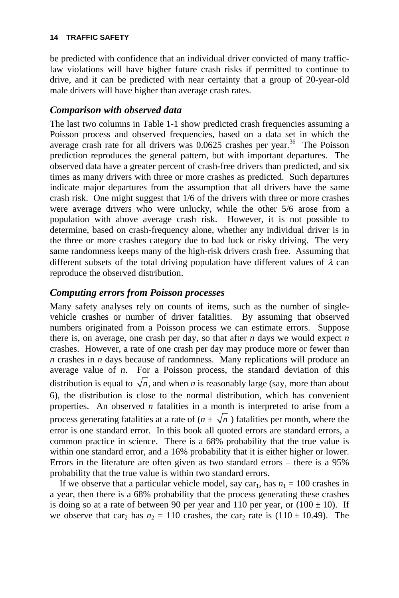be predicted with confidence that an individual driver convicted of many trafficlaw violations will have higher future crash risks if permitted to continue to drive, and it can be predicted with near certainty that a group of 20-year-old male drivers will have higher than average crash rates.

### *Comparison with observed data*

The last two columns in Table 1**-**1 show predicted crash frequencies assuming a Poisson process and observed frequencies, based on a data set in which the average crash rate for all drivers was  $0.0625$  crashes per year.<sup>36</sup> The Poisson prediction reproduces the general pattern, but with important departures. The observed data have a greater percent of crash-free drivers than predicted, and six times as many drivers with three or more crashes as predicted. Such departures indicate major departures from the assumption that all drivers have the same crash risk. One might suggest that 1/6 of the drivers with three or more crashes were average drivers who were unlucky, while the other 5/6 arose from a population with above average crash risk. However, it is not possible to determine, based on crash-frequency alone, whether any individual driver is in the three or more crashes category due to bad luck or risky driving. The very same randomness keeps many of the high-risk drivers crash free. Assuming that different subsets of the total driving population have different values of  $\lambda$  can reproduce the observed distribution.

### *Computing errors from Poisson processes*

Many safety analyses rely on counts of items, such as the number of singlevehicle crashes or number of driver fatalities. By assuming that observed numbers originated from a Poisson process we can estimate errors. Suppose there is, on average, one crash per day, so that after *n* days we would expect *n* crashes. However, a rate of one crash per day may produce more or fewer than *n* crashes in *n* days because of randomness. Many replications will produce an average value of *n*. For a Poisson process, the standard deviation of this distribution is equal to  $\sqrt{n}$ , and when *n* is reasonably large (say, more than about 6), the distribution is close to the normal distribution, which has convenient properties. An observed *n* fatalities in a month is interpreted to arise from a process generating fatalities at a rate of  $(n \pm \sqrt{n})$  fatalities per month, where the error is one standard error. In this book all quoted errors are standard errors, a common practice in science. There is a 68% probability that the true value is within one standard error, and a 16% probability that it is either higher or lower. Errors in the literature are often given as two standard errors – there is a 95% probability that the true value is within two standard errors.

If we observe that a particular vehicle model, say car<sub>1</sub>, has  $n_1 = 100$  crashes in a year, then there is a 68% probability that the process generating these crashes is doing so at a rate of between 90 per year and 110 per year, or  $(100 \pm 10)$ . If we observe that car<sub>2</sub> has  $n_2 = 110$  crashes, the car<sub>2</sub> rate is (110  $\pm$  10.49). The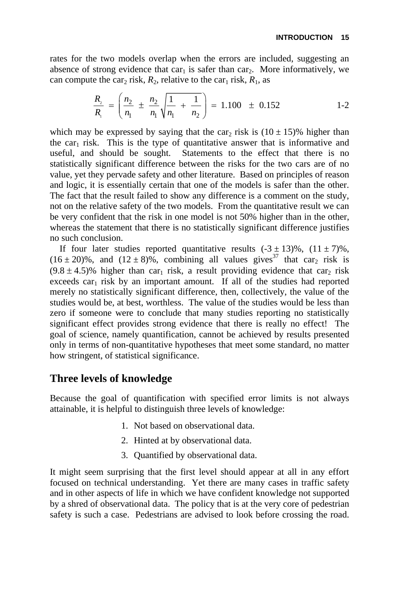rates for the two models overlap when the errors are included, suggesting an absence of strong evidence that car<sub>1</sub> is safer than car<sub>2</sub>. More informatively, we can compute the car<sub>2</sub> risk,  $R_2$ , relative to the car<sub>1</sub> risk,  $R_1$ , as

$$
\frac{R_2}{R_1} = \left(\frac{n_2}{n_1} \pm \frac{n_2}{n_1}\sqrt{\frac{1}{n_1} + \frac{1}{n_2}}\right) = 1.100 \pm 0.152
$$
 1-2

which may be expressed by saying that the car<sub>2</sub> risk is  $(10 \pm 15)$ % higher than the car<sub>1</sub> risk. This is the type of quantitative answer that is informative and useful, and should be sought. Statements to the effect that there is no statistically significant difference between the risks for the two cars are of no value, yet they pervade safety and other literature. Based on principles of reason and logic, it is essentially certain that one of the models is safer than the other. The fact that the result failed to show any difference is a comment on the study, not on the relative safety of the two models. From the quantitative result we can be very confident that the risk in one model is not 50% higher than in the other, whereas the statement that there is no statistically significant difference justifies no such conclusion.

If four later studies reported quantitative results  $(-3 \pm 13)\%$ ,  $(11 \pm 7)\%$ ,  $(16 \pm 20)\%$ , and  $(12 \pm 8)\%$ , combining all values gives<sup>37</sup> that car<sub>2</sub> risk is  $(9.8 \pm 4.5)\%$  higher than car<sub>1</sub> risk, a result providing evidence that car<sub>2</sub> risk exceeds  $car_1$  risk by an important amount. If all of the studies had reported merely no statistically significant difference, then, collectively, the value of the studies would be, at best, worthless. The value of the studies would be less than zero if someone were to conclude that many studies reporting no statistically significant effect provides strong evidence that there is really no effect! The goal of science, namely quantification, cannot be achieved by results presented only in terms of non-quantitative hypotheses that meet some standard, no matter how stringent, of statistical significance.

## **Three levels of knowledge**

Because the goal of quantification with specified error limits is not always attainable, it is helpful to distinguish three levels of knowledge:

- 1. Not based on observational data.
- 2. Hinted at by observational data.
- 3. Quantified by observational data.

It might seem surprising that the first level should appear at all in any effort focused on technical understanding. Yet there are many cases in traffic safety and in other aspects of life in which we have confident knowledge not supported by a shred of observational data. The policy that is at the very core of pedestrian safety is such a case. Pedestrians are advised to look before crossing the road.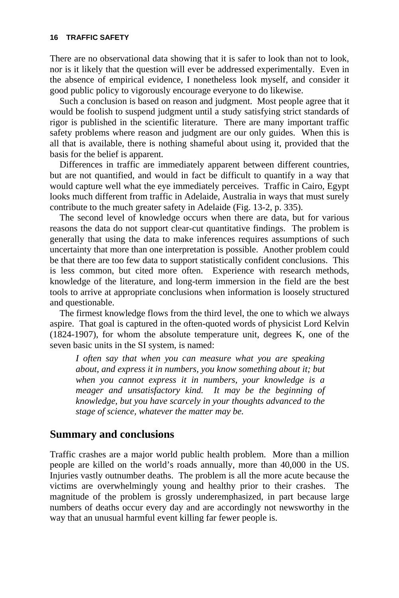There are no observational data showing that it is safer to look than not to look, nor is it likely that the question will ever be addressed experimentally. Even in the absence of empirical evidence, I nonetheless look myself, and consider it good public policy to vigorously encourage everyone to do likewise.

Such a conclusion is based on reason and judgment. Most people agree that it would be foolish to suspend judgment until a study satisfying strict standards of rigor is published in the scientific literature. There are many important traffic safety problems where reason and judgment are our only guides. When this is all that is available, there is nothing shameful about using it, provided that the basis for the belief is apparent.

Differences in traffic are immediately apparent between different countries, but are not quantified, and would in fact be difficult to quantify in a way that would capture well what the eye immediately perceives. Traffic in Cairo, Egypt looks much different from traffic in Adelaide, Australia in ways that must surely contribute to the much greater safety in Adelaide (Fig. 13-2, p. 335).

The second level of knowledge occurs when there are data, but for various reasons the data do not support clear-cut quantitative findings. The problem is generally that using the data to make inferences requires assumptions of such uncertainty that more than one interpretation is possible. Another problem could be that there are too few data to support statistically confident conclusions. This is less common, but cited more often. Experience with research methods, knowledge of the literature, and long-term immersion in the field are the best tools to arrive at appropriate conclusions when information is loosely structured and questionable.

The firmest knowledge flows from the third level, the one to which we always aspire. That goal is captured in the often-quoted words of physicist Lord Kelvin (1824-1907), for whom the absolute temperature unit, degrees K, one of the seven basic units in the SI system, is named:

*I often say that when you can measure what you are speaking about, and express it in numbers, you know something about it; but when you cannot express it in numbers, your knowledge is a meager and unsatisfactory kind. It may be the beginning of knowledge, but you have scarcely in your thoughts advanced to the stage of science, whatever the matter may be.* 

## **Summary and conclusions**

Traffic crashes are a major world public health problem. More than a million people are killed on the world's roads annually, more than 40,000 in the US. Injuries vastly outnumber deaths. The problem is all the more acute because the victims are overwhelmingly young and healthy prior to their crashes. The magnitude of the problem is grossly underemphasized, in part because large numbers of deaths occur every day and are accordingly not newsworthy in the way that an unusual harmful event killing far fewer people is.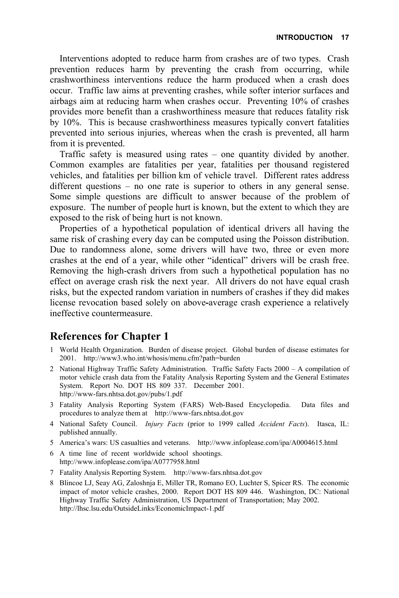Interventions adopted to reduce harm from crashes are of two types. Crash prevention reduces harm by preventing the crash from occurring, while crashworthiness interventions reduce the harm produced when a crash does occur. Traffic law aims at preventing crashes, while softer interior surfaces and airbags aim at reducing harm when crashes occur. Preventing 10% of crashes provides more benefit than a crashworthiness measure that reduces fatality risk by 10%. This is because crashworthiness measures typically convert fatalities prevented into serious injuries, whereas when the crash is prevented, all harm from it is prevented.

Traffic safety is measured using rates – one quantity divided by another. Common examples are fatalities per year, fatalities per thousand registered vehicles, and fatalities per billion km of vehicle travel. Different rates address different questions – no one rate is superior to others in any general sense. Some simple questions are difficult to answer because of the problem of exposure. The number of people hurt is known, but the extent to which they are exposed to the risk of being hurt is not known.

Properties of a hypothetical population of identical drivers all having the same risk of crashing every day can be computed using the Poisson distribution. Due to randomness alone, some drivers will have two, three or even more crashes at the end of a year, while other "identical" drivers will be crash free. Removing the high-crash drivers from such a hypothetical population has no effect on average crash risk the next year. All drivers do not have equal crash risks, but the expected random variation in numbers of crashes if they did makes license revocation based solely on above**-**average crash experience a relatively ineffective countermeasure.

## **References for Chapter 1**

- 1 World Health Organization. Burden of disease project. Global burden of disease estimates for 2001. http://www3.who.int/whosis/menu.cfm?path=burden
- 2 National Highway Traffic Safety Administration. Traffic Safety Facts 2000 A compilation of motor vehicle crash data from the Fatality Analysis Reporting System and the General Estimates System. Report No. DOT HS 809 337. December 2001. http://www-fars.nhtsa.dot.gov/pubs/1.pdf
- 3 Fatality Analysis Reporting System (FARS) Web-Based Encyclopedia. Data files and procedures to analyze them at http://www-fars.nhtsa.dot.gov
- 4 National Safety Council. *Injury Facts* (prior to 1999 called *Accident Facts*). Itasca, IL: published annually.
- 5 America's wars: US casualties and veterans. http://www.infoplease.com/ipa/A0004615.html
- 6 A time line of recent worldwide school shootings. http://www.infoplease.com/ipa/A0777958.html
- 7 Fatality Analysis Reporting System. http://www-fars.nhtsa.dot.gov
- 8 Blincoe LJ, Seay AG, Zaloshnja E, Miller TR, Romano EO, Luchter S, Spicer RS. The economic impact of motor vehicle crashes, 2000. Report DOT HS 809 446. Washington, DC: National Highway Traffic Safety Administration, US Department of Transportation; May 2002. http://lhsc.lsu.edu/OutsideLinks/EconomicImpact-1.pdf